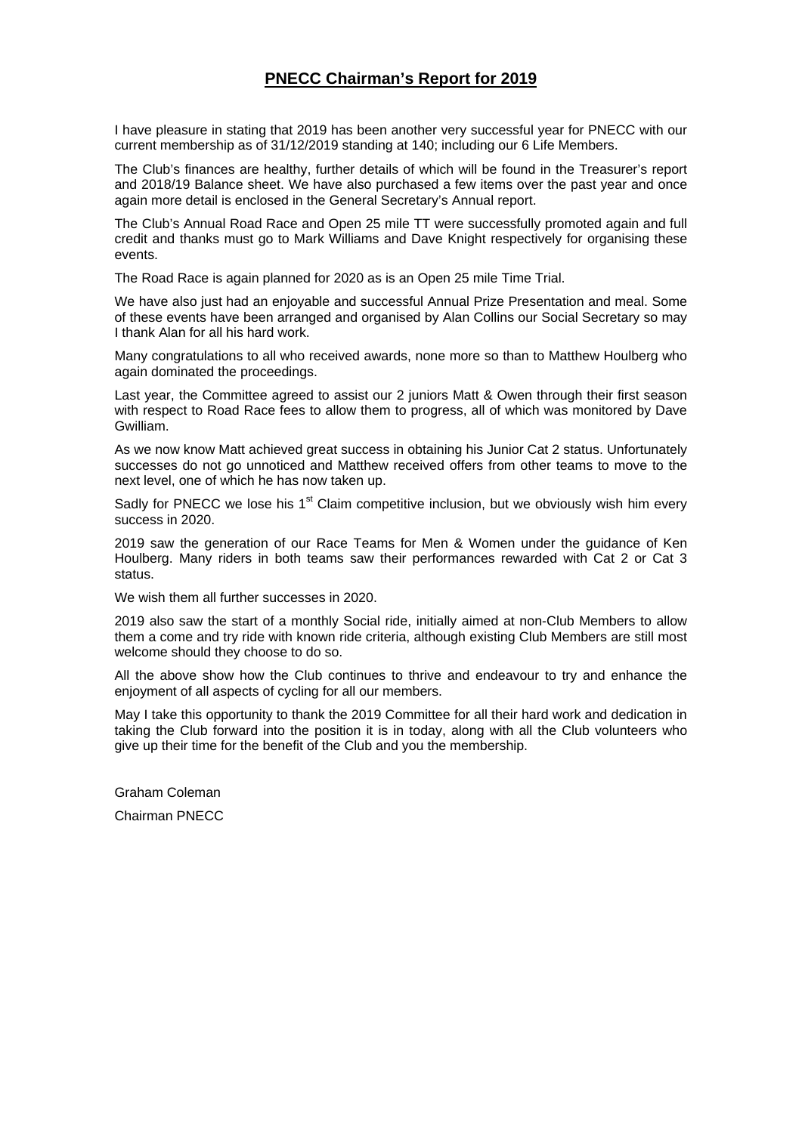# **PNECC Chairman's Report for 2019**

I have pleasure in stating that 2019 has been another very successful year for PNECC with our current membership as of 31/12/2019 standing at 140; including our 6 Life Members.

The Club's finances are healthy, further details of which will be found in the Treasurer's report and 2018/19 Balance sheet. We have also purchased a few items over the past year and once again more detail is enclosed in the General Secretary's Annual report.

The Club's Annual Road Race and Open 25 mile TT were successfully promoted again and full credit and thanks must go to Mark Williams and Dave Knight respectively for organising these events.

The Road Race is again planned for 2020 as is an Open 25 mile Time Trial.

We have also just had an enjoyable and successful Annual Prize Presentation and meal. Some of these events have been arranged and organised by Alan Collins our Social Secretary so may I thank Alan for all his hard work.

Many congratulations to all who received awards, none more so than to Matthew Houlberg who again dominated the proceedings.

Last year, the Committee agreed to assist our 2 juniors Matt & Owen through their first season with respect to Road Race fees to allow them to progress, all of which was monitored by Dave Gwilliam.

As we now know Matt achieved great success in obtaining his Junior Cat 2 status. Unfortunately successes do not go unnoticed and Matthew received offers from other teams to move to the next level, one of which he has now taken up.

Sadly for PNECC we lose his  $1<sup>st</sup>$  Claim competitive inclusion, but we obviously wish him every success in 2020.

2019 saw the generation of our Race Teams for Men & Women under the guidance of Ken Houlberg. Many riders in both teams saw their performances rewarded with Cat 2 or Cat 3 status.

We wish them all further successes in 2020.

2019 also saw the start of a monthly Social ride, initially aimed at non-Club Members to allow them a come and try ride with known ride criteria, although existing Club Members are still most welcome should they choose to do so.

All the above show how the Club continues to thrive and endeavour to try and enhance the enjoyment of all aspects of cycling for all our members.

May I take this opportunity to thank the 2019 Committee for all their hard work and dedication in taking the Club forward into the position it is in today, along with all the Club volunteers who give up their time for the benefit of the Club and you the membership.

Graham Coleman

Chairman PNECC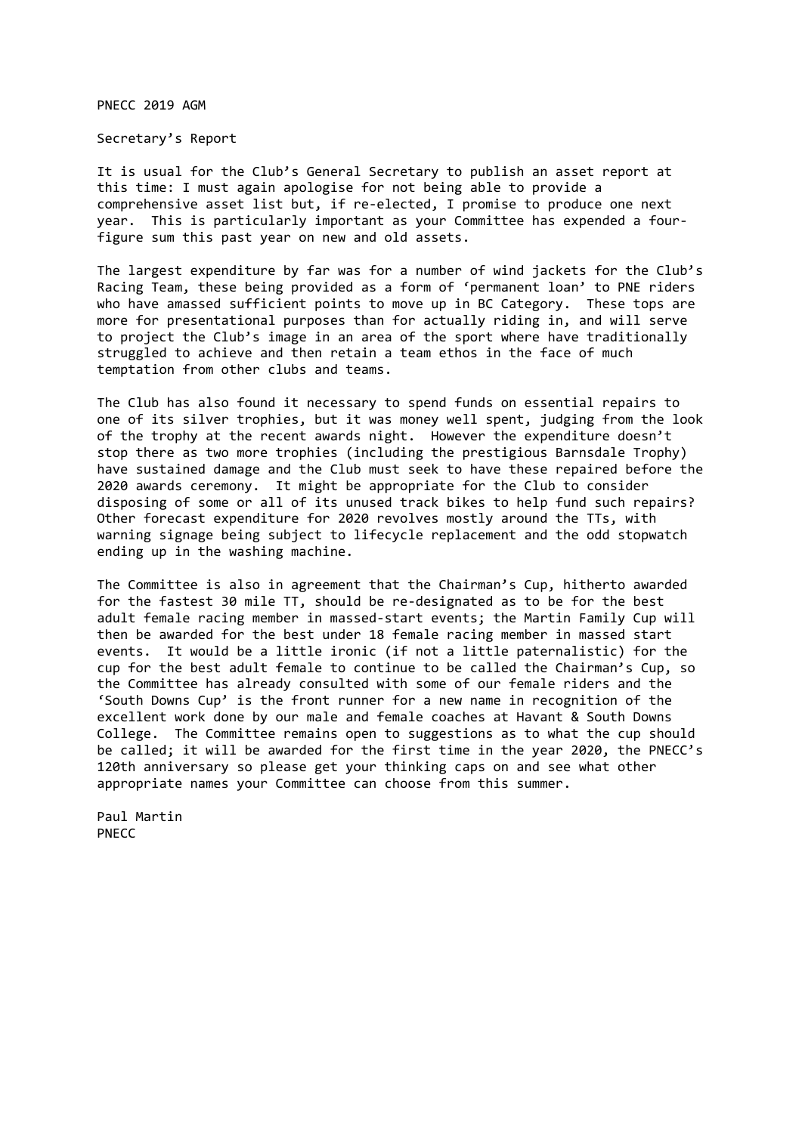PNECC 2019 AGM

Secretary's Report

It is usual for the Club's General Secretary to publish an asset report at this time: I must again apologise for not being able to provide a comprehensive asset list but, if re‐elected, I promise to produce one next year. This is particularly important as your Committee has expended a four‐ figure sum this past year on new and old assets.

The largest expenditure by far was for a number of wind jackets for the Club's Racing Team, these being provided as a form of 'permanent loan' to PNE riders who have amassed sufficient points to move up in BC Category. These tops are more for presentational purposes than for actually riding in, and will serve to project the Club's image in an area of the sport where have traditionally struggled to achieve and then retain a team ethos in the face of much temptation from other clubs and teams.

The Club has also found it necessary to spend funds on essential repairs to one of its silver trophies, but it was money well spent, judging from the look of the trophy at the recent awards night. However the expenditure doesn't stop there as two more trophies (including the prestigious Barnsdale Trophy) have sustained damage and the Club must seek to have these repaired before the 2020 awards ceremony. It might be appropriate for the Club to consider disposing of some or all of its unused track bikes to help fund such repairs? Other forecast expenditure for 2020 revolves mostly around the TTs, with warning signage being subject to lifecycle replacement and the odd stopwatch ending up in the washing machine.

The Committee is also in agreement that the Chairman's Cup, hitherto awarded for the fastest 30 mile TT, should be re‐designated as to be for the best adult female racing member in massed-start events; the Martin Family Cup will then be awarded for the best under 18 female racing member in massed start events. It would be a little ironic (if not a little paternalistic) for the cup for the best adult female to continue to be called the Chairman's Cup, so the Committee has already consulted with some of our female riders and the 'South Downs Cup' is the front runner for a new name in recognition of the excellent work done by our male and female coaches at Havant & South Downs College. The Committee remains open to suggestions as to what the cup should be called; it will be awarded for the first time in the year 2020, the PNECC's 120th anniversary so please get your thinking caps on and see what other appropriate names your Committee can choose from this summer.

Paul Martin PNECC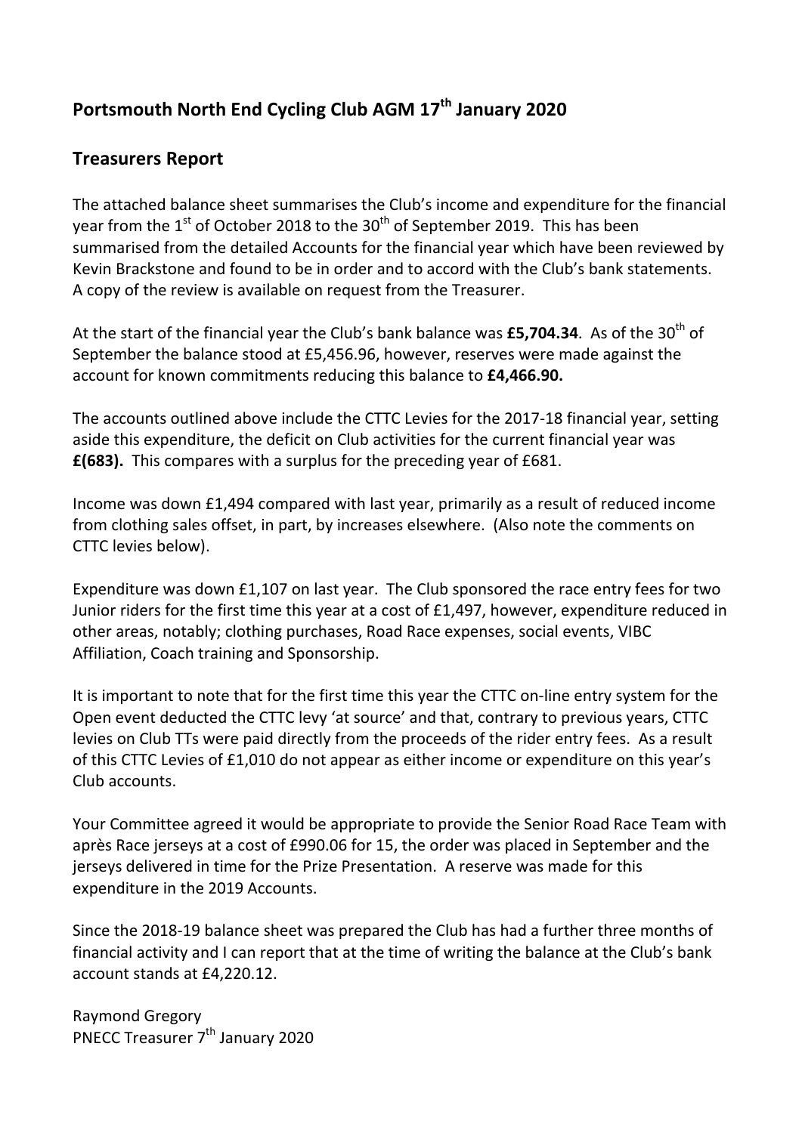# **Portsmouth North End Cycling Club AGM 17th January 2020**

# **Treasurers Report**

The attached balance sheet summarises the Club's income and expenditure for the financial year from the  $1<sup>st</sup>$  of October 2018 to the 30<sup>th</sup> of September 2019. This has been summarised from the detailed Accounts for the financial year which have been reviewed by Kevin Brackstone and found to be in order and to accord with the Club's bank statements. A copy of the review is available on request from the Treasurer.

At the start of the financial year the Club's bank balance was £5,704.34. As of the 30<sup>th</sup> of September the balance stood at £5,456.96, however, reserves were made against the account for known commitments reducing this balance to **£4,466.90.**

The accounts outlined above include the CTTC Levies for the 2017‐18 financial year, setting aside this expenditure, the deficit on Club activities for the current financial year was **£(683).** This compares with a surplus for the preceding year of £681.

Income was down £1,494 compared with last year, primarily as a result of reduced income from clothing sales offset, in part, by increases elsewhere. (Also note the comments on CTTC levies below).

Expenditure was down £1,107 on last year. The Club sponsored the race entry fees for two Junior riders for the first time this year at a cost of £1,497, however, expenditure reduced in other areas, notably; clothing purchases, Road Race expenses, social events, VIBC Affiliation, Coach training and Sponsorship.

It is important to note that for the first time this year the CTTC on‐line entry system for the Open event deducted the CTTC levy 'at source' and that, contrary to previous years, CTTC levies on Club TTs were paid directly from the proceeds of the rider entry fees. As a result of this CTTC Levies of £1,010 do not appear as either income or expenditure on this year's Club accounts.

Your Committee agreed it would be appropriate to provide the Senior Road Race Team with après Race jerseys at a cost of £990.06 for 15, the order was placed in September and the jerseys delivered in time for the Prize Presentation. A reserve was made for this expenditure in the 2019 Accounts.

Since the 2018‐19 balance sheet was prepared the Club has had a further three months of financial activity and I can report that at the time of writing the balance at the Club's bank account stands at £4,220.12.

Raymond Gregory PNECC Treasurer 7<sup>th</sup> January 2020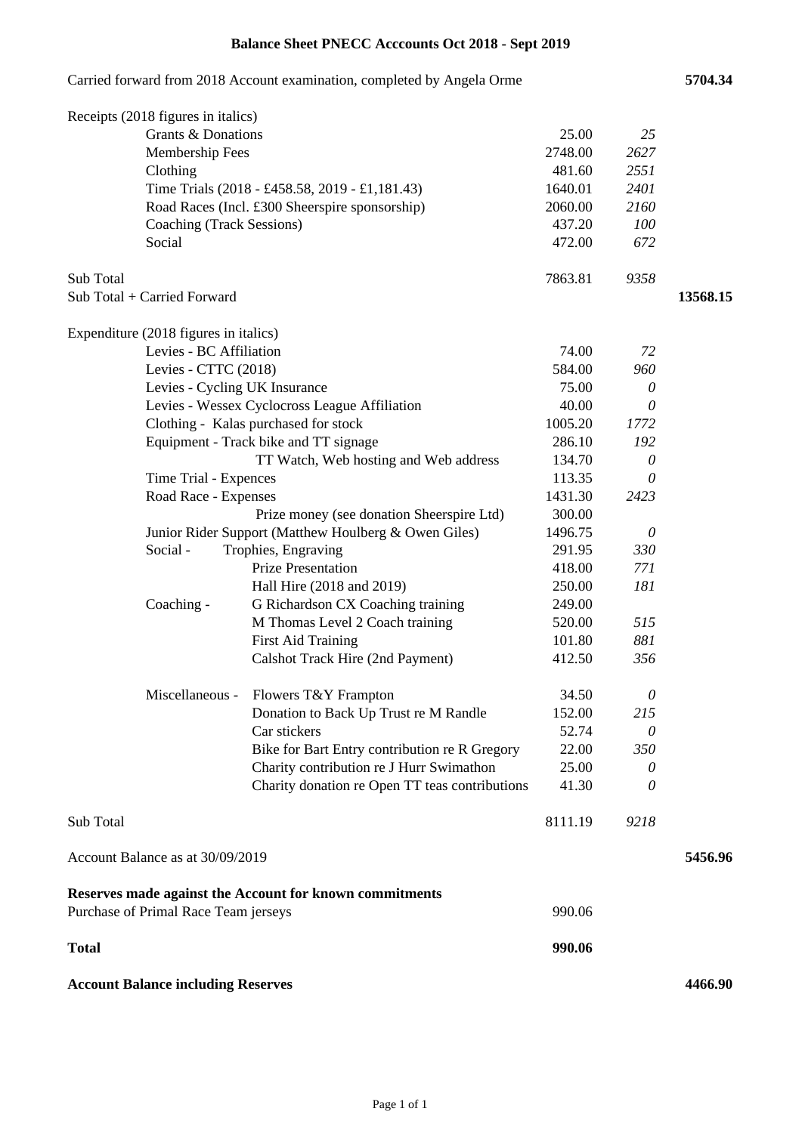# **Balance Sheet PNECC Acccounts Oct 2018 - Sept 2019**

|              |                                           | Carried forward from 2018 Account examination, completed by Angela Orme |         |          | 5704.34  |
|--------------|-------------------------------------------|-------------------------------------------------------------------------|---------|----------|----------|
|              | Receipts (2018 figures in italics)        |                                                                         |         |          |          |
|              | Grants & Donations                        |                                                                         | 25.00   | 25       |          |
|              | Membership Fees                           |                                                                         | 2748.00 | 2627     |          |
|              | Clothing                                  |                                                                         | 481.60  | 2551     |          |
|              |                                           | Time Trials (2018 - £458.58, 2019 - £1,181.43)                          | 1640.01 | 2401     |          |
|              |                                           | Road Races (Incl. £300 Sheerspire sponsorship)                          | 2060.00 | 2160     |          |
|              | Coaching (Track Sessions)                 |                                                                         | 437.20  | 100      |          |
|              | Social                                    |                                                                         | 472.00  | 672      |          |
| Sub Total    |                                           |                                                                         | 7863.81 | 9358     |          |
|              | Sub Total + Carried Forward               |                                                                         |         |          | 13568.15 |
|              | Expenditure (2018 figures in italics)     |                                                                         |         |          |          |
|              | Levies - BC Affiliation                   |                                                                         | 74.00   | 72       |          |
|              | Levies - CTTC (2018)                      |                                                                         | 584.00  | 960      |          |
|              | Levies - Cycling UK Insurance             |                                                                         | 75.00   | $\theta$ |          |
|              |                                           | Levies - Wessex Cyclocross League Affiliation                           | 40.00   | 0        |          |
|              |                                           | Clothing - Kalas purchased for stock                                    | 1005.20 | 1772     |          |
|              |                                           | Equipment - Track bike and TT signage                                   | 286.10  | 192      |          |
|              |                                           | TT Watch, Web hosting and Web address                                   | 134.70  | $\theta$ |          |
|              | Time Trial - Expences                     |                                                                         | 113.35  | $\theta$ |          |
|              | Road Race - Expenses                      |                                                                         | 1431.30 | 2423     |          |
|              |                                           | Prize money (see donation Sheerspire Ltd)                               | 300.00  |          |          |
|              |                                           | Junior Rider Support (Matthew Houlberg & Owen Giles)                    | 1496.75 | 0        |          |
|              | Social -                                  | Trophies, Engraving                                                     | 291.95  | 330      |          |
|              |                                           | <b>Prize Presentation</b>                                               | 418.00  | 771      |          |
|              |                                           | Hall Hire (2018 and 2019)                                               | 250.00  | 181      |          |
|              | Coaching -                                | G Richardson CX Coaching training                                       | 249.00  |          |          |
|              |                                           | M Thomas Level 2 Coach training                                         | 520.00  | 515      |          |
|              |                                           | <b>First Aid Training</b>                                               | 101.80  | 881      |          |
|              |                                           | Calshot Track Hire (2nd Payment)                                        | 412.50  | 356      |          |
|              | Miscellaneous -                           | Flowers T&Y Frampton                                                    | 34.50   | 0        |          |
|              |                                           | Donation to Back Up Trust re M Randle                                   | 152.00  | 215      |          |
|              |                                           | Car stickers                                                            | 52.74   | $\theta$ |          |
|              |                                           | Bike for Bart Entry contribution re R Gregory                           | 22.00   | 350      |          |
|              |                                           | Charity contribution re J Hurr Swimathon                                | 25.00   | 0        |          |
|              |                                           | Charity donation re Open TT teas contributions                          | 41.30   | 0        |          |
| Sub Total    |                                           |                                                                         | 8111.19 | 9218     |          |
|              | Account Balance as at 30/09/2019          |                                                                         |         |          | 5456.96  |
|              |                                           | Reserves made against the Account for known commitments                 |         |          |          |
|              | Purchase of Primal Race Team jerseys      |                                                                         | 990.06  |          |          |
| <b>Total</b> |                                           |                                                                         | 990.06  |          |          |
|              | <b>Account Balance including Reserves</b> |                                                                         |         |          | 4466.90  |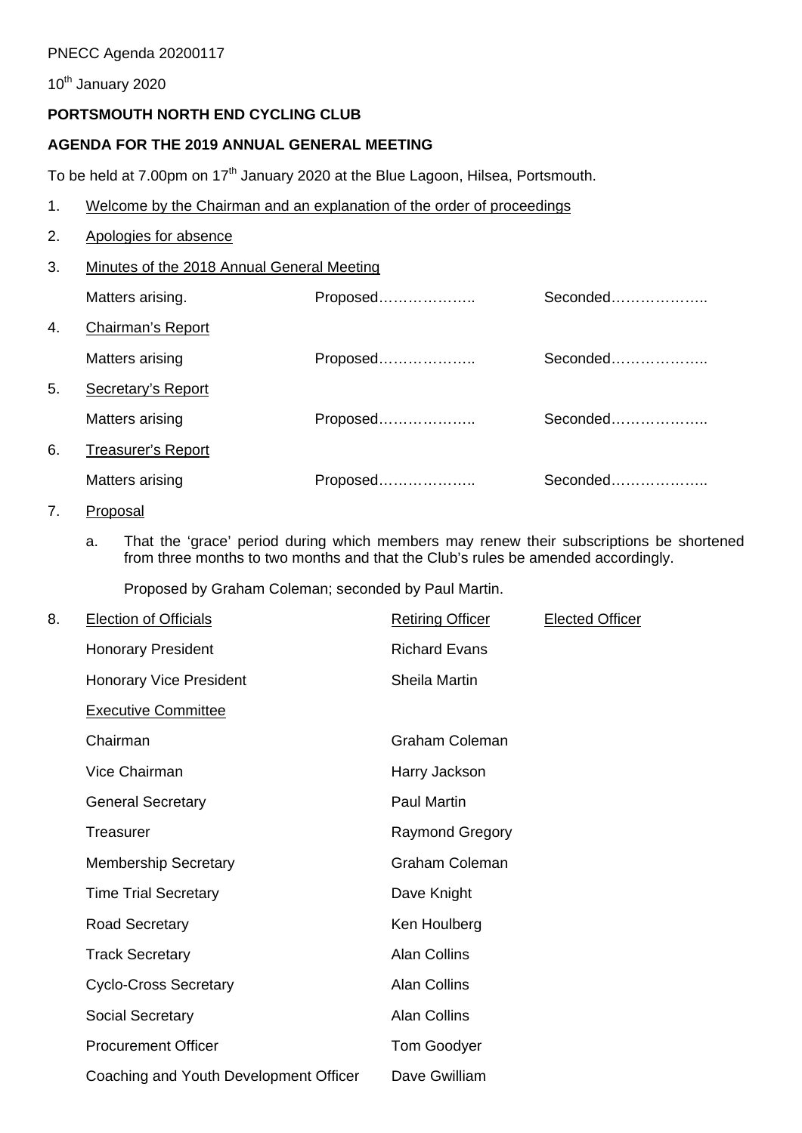#### PNECC Agenda 20200117

10<sup>th</sup> January 2020

# **PORTSMOUTH NORTH END CYCLING CLUB**

#### **AGENDA FOR THE 2019 ANNUAL GENERAL MEETING**

To be held at 7.00pm on 17<sup>th</sup> January 2020 at the Blue Lagoon, Hilsea, Portsmouth.

- 1. Welcome by the Chairman and an explanation of the order of proceedings
- 2. Apologies for absence

#### 3. Minutes of the 2018 Annual General Meeting

|    | Matters arising.          | Proposed | Seconded |
|----|---------------------------|----------|----------|
| 4. | Chairman's Report         |          |          |
|    | Matters arising           | Proposed | Seconded |
| 5. | Secretary's Report        |          |          |
|    | Matters arising           | Proposed | Seconded |
| 6. | <b>Treasurer's Report</b> |          |          |
|    | Matters arising           | Proposed | Seconded |

#### 7. Proposal

a. That the 'grace' period during which members may renew their subscriptions be shortened from three months to two months and that the Club's rules be amended accordingly.

Proposed by Graham Coleman; seconded by Paul Martin.

| 8. | <b>Election of Officials</b>           | <b>Retiring Officer</b> | <b>Elected Officer</b> |
|----|----------------------------------------|-------------------------|------------------------|
|    | <b>Honorary President</b>              | <b>Richard Evans</b>    |                        |
|    | <b>Honorary Vice President</b>         | Sheila Martin           |                        |
|    | <b>Executive Committee</b>             |                         |                        |
|    | Chairman                               | <b>Graham Coleman</b>   |                        |
|    | Vice Chairman                          | Harry Jackson           |                        |
|    | <b>General Secretary</b>               | <b>Paul Martin</b>      |                        |
|    | Treasurer                              | <b>Raymond Gregory</b>  |                        |
|    | <b>Membership Secretary</b>            | <b>Graham Coleman</b>   |                        |
|    | <b>Time Trial Secretary</b>            | Dave Knight             |                        |
|    | <b>Road Secretary</b>                  | Ken Houlberg            |                        |
|    | <b>Track Secretary</b>                 | <b>Alan Collins</b>     |                        |
|    | <b>Cyclo-Cross Secretary</b>           | <b>Alan Collins</b>     |                        |
|    | <b>Social Secretary</b>                | <b>Alan Collins</b>     |                        |
|    | <b>Procurement Officer</b>             | <b>Tom Goodyer</b>      |                        |
|    | Coaching and Youth Development Officer | Dave Gwilliam           |                        |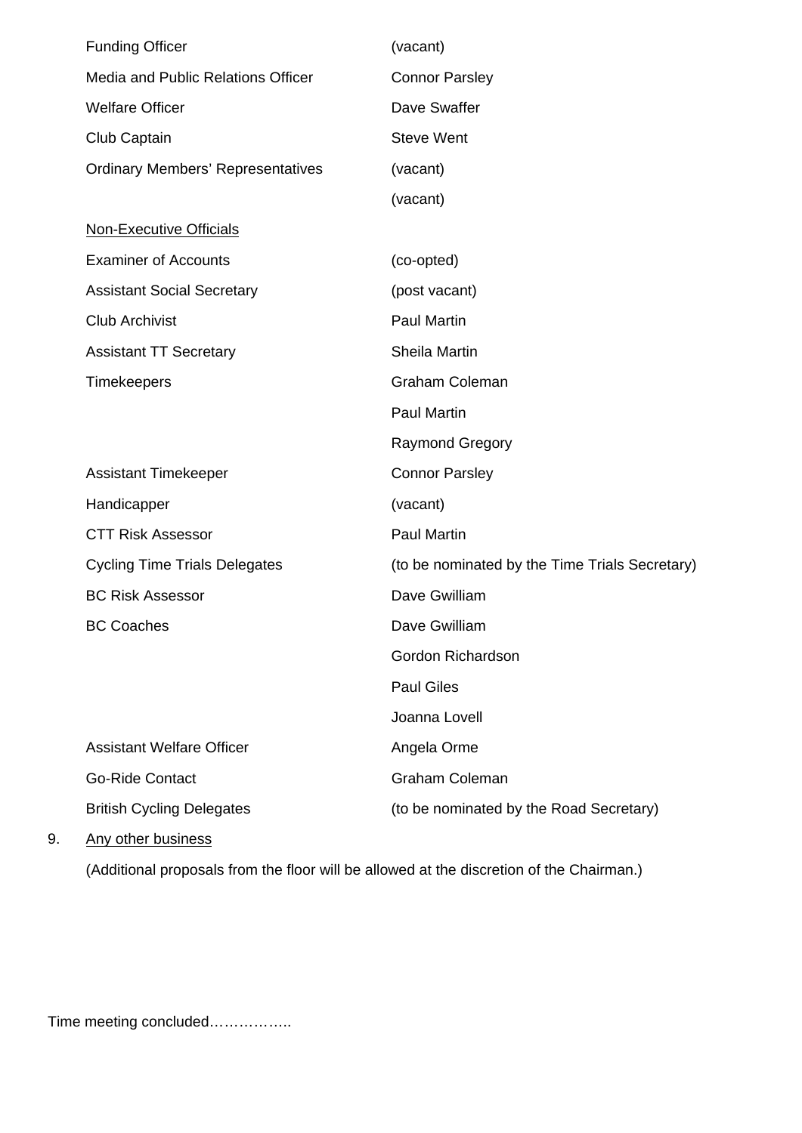| <b>Funding Officer</b>                   | (vacant)                                       |
|------------------------------------------|------------------------------------------------|
| Media and Public Relations Officer       | <b>Connor Parsley</b>                          |
| <b>Welfare Officer</b>                   | Dave Swaffer                                   |
| Club Captain                             | <b>Steve Went</b>                              |
| <b>Ordinary Members' Representatives</b> | (vacant)                                       |
|                                          | (vacant)                                       |
| <b>Non-Executive Officials</b>           |                                                |
| <b>Examiner of Accounts</b>              | (co-opted)                                     |
| <b>Assistant Social Secretary</b>        | (post vacant)                                  |
| <b>Club Archivist</b>                    | <b>Paul Martin</b>                             |
| <b>Assistant TT Secretary</b>            | Sheila Martin                                  |
| Timekeepers                              | <b>Graham Coleman</b>                          |
|                                          | <b>Paul Martin</b>                             |
|                                          | <b>Raymond Gregory</b>                         |
| <b>Assistant Timekeeper</b>              | <b>Connor Parsley</b>                          |
| Handicapper                              | (vacant)                                       |
| <b>CTT Risk Assessor</b>                 | <b>Paul Martin</b>                             |
| <b>Cycling Time Trials Delegates</b>     | (to be nominated by the Time Trials Secretary) |
| <b>BC Risk Assessor</b>                  | Dave Gwilliam                                  |
| <b>BC Coaches</b>                        | Dave Gwilliam                                  |
|                                          | Gordon Richardson                              |
|                                          | <b>Paul Giles</b>                              |
|                                          | Joanna Lovell                                  |
| <b>Assistant Welfare Officer</b>         | Angela Orme                                    |
| <b>Go-Ride Contact</b>                   | <b>Graham Coleman</b>                          |
| <b>British Cycling Delegates</b>         | (to be nominated by the Road Secretary)        |
| Any other husiness                       |                                                |

9. Any other business

(Additional proposals from the floor will be allowed at the discretion of the Chairman.)

Time meeting concluded……………..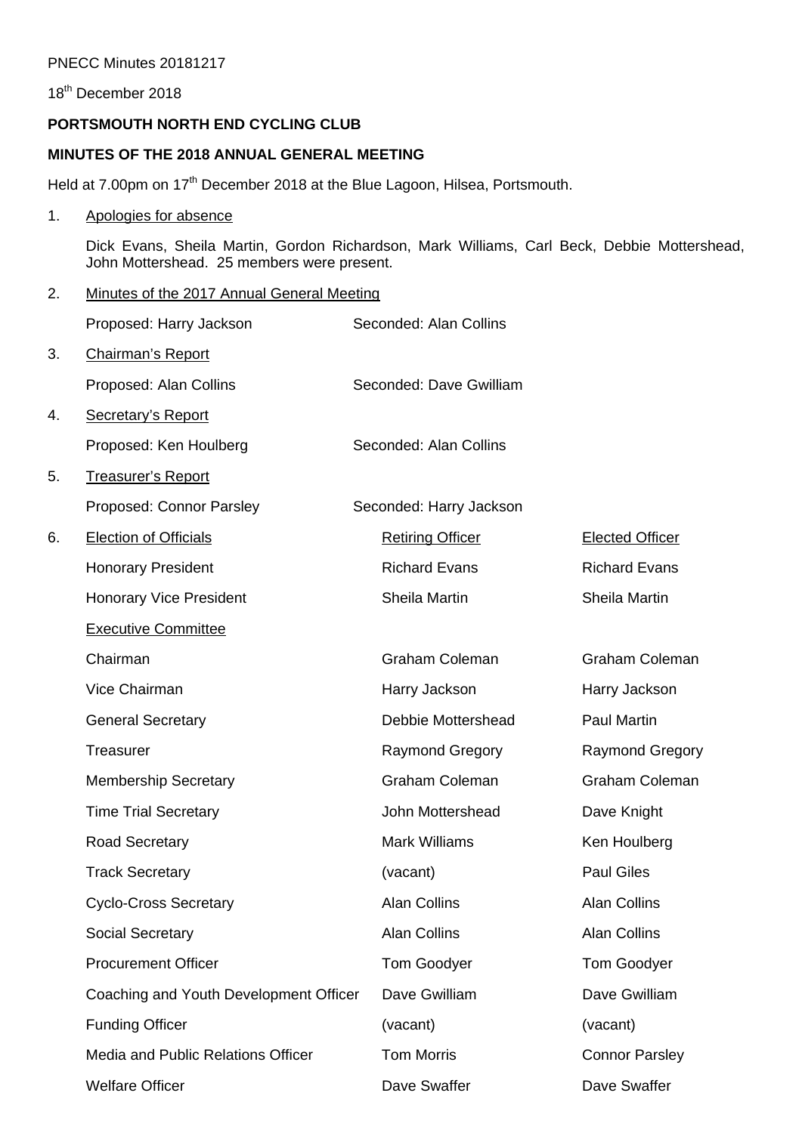#### PNECC Minutes 20181217

18<sup>th</sup> December 2018

#### **PORTSMOUTH NORTH END CYCLING CLUB**

#### **MINUTES OF THE 2018 ANNUAL GENERAL MEETING**

Held at 7.00pm on 17<sup>th</sup> December 2018 at the Blue Lagoon, Hilsea, Portsmouth.

#### 1. Apologies for absence

Dick Evans, Sheila Martin, Gordon Richardson, Mark Williams, Carl Beck, Debbie Mottershead, John Mottershead. 25 members were present.

#### 2. Minutes of the 2017 Annual General Meeting

|    | Proposed: Harry Jackson                | Seconded: Alan Collins  |                        |
|----|----------------------------------------|-------------------------|------------------------|
| 3. | <b>Chairman's Report</b>               |                         |                        |
|    | Proposed: Alan Collins                 | Seconded: Dave Gwilliam |                        |
| 4. | <b>Secretary's Report</b>              |                         |                        |
|    | Proposed: Ken Houlberg                 | Seconded: Alan Collins  |                        |
| 5. | <b>Treasurer's Report</b>              |                         |                        |
|    | Proposed: Connor Parsley               | Seconded: Harry Jackson |                        |
| 6. | <b>Election of Officials</b>           | <b>Retiring Officer</b> | <b>Elected Officer</b> |
|    | <b>Honorary President</b>              | <b>Richard Evans</b>    | <b>Richard Evans</b>   |
|    | <b>Honorary Vice President</b>         | Sheila Martin           | Sheila Martin          |
|    | <b>Executive Committee</b>             |                         |                        |
|    | Chairman                               | <b>Graham Coleman</b>   | <b>Graham Coleman</b>  |
|    | Vice Chairman                          | Harry Jackson           | Harry Jackson          |
|    | <b>General Secretary</b>               | Debbie Mottershead      | <b>Paul Martin</b>     |
|    | <b>Treasurer</b>                       | <b>Raymond Gregory</b>  | <b>Raymond Gregory</b> |
|    | <b>Membership Secretary</b>            | <b>Graham Coleman</b>   | <b>Graham Coleman</b>  |
|    | <b>Time Trial Secretary</b>            | John Mottershead        | Dave Knight            |
|    | <b>Road Secretary</b>                  | <b>Mark Williams</b>    | Ken Houlberg           |
|    | <b>Track Secretary</b>                 | (vacant)                | <b>Paul Giles</b>      |
|    | <b>Cyclo-Cross Secretary</b>           | <b>Alan Collins</b>     | <b>Alan Collins</b>    |
|    | <b>Social Secretary</b>                | <b>Alan Collins</b>     | <b>Alan Collins</b>    |
|    | <b>Procurement Officer</b>             | <b>Tom Goodyer</b>      | <b>Tom Goodyer</b>     |
|    | Coaching and Youth Development Officer | Dave Gwilliam           | Dave Gwilliam          |
|    | <b>Funding Officer</b>                 | (vacant)                | (vacant)               |
|    | Media and Public Relations Officer     | <b>Tom Morris</b>       | <b>Connor Parsley</b>  |
|    | <b>Welfare Officer</b>                 | Dave Swaffer            | Dave Swaffer           |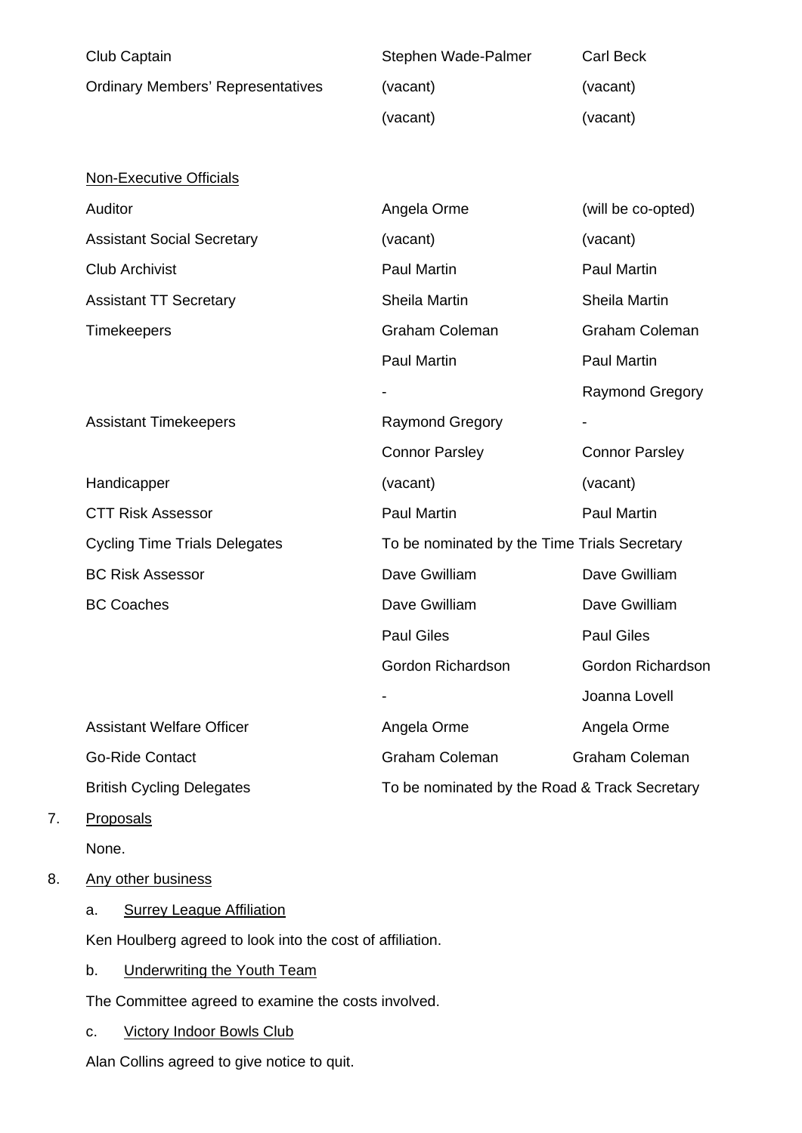| Club Captain                             | Stephen Wade-Palmer    | <b>Carl Beck</b>                              |  |  |  |
|------------------------------------------|------------------------|-----------------------------------------------|--|--|--|
| <b>Ordinary Members' Representatives</b> | (vacant)               | (vacant)                                      |  |  |  |
|                                          | (vacant)               | (vacant)                                      |  |  |  |
|                                          |                        |                                               |  |  |  |
| <b>Non-Executive Officials</b>           |                        |                                               |  |  |  |
| Auditor                                  | Angela Orme            | (will be co-opted)                            |  |  |  |
| <b>Assistant Social Secretary</b>        | (vacant)               | (vacant)                                      |  |  |  |
| <b>Club Archivist</b>                    | <b>Paul Martin</b>     | <b>Paul Martin</b>                            |  |  |  |
| <b>Assistant TT Secretary</b>            | Sheila Martin          | Sheila Martin                                 |  |  |  |
| Timekeepers                              | <b>Graham Coleman</b>  | <b>Graham Coleman</b>                         |  |  |  |
|                                          | <b>Paul Martin</b>     | <b>Paul Martin</b>                            |  |  |  |
|                                          |                        | <b>Raymond Gregory</b>                        |  |  |  |
| <b>Assistant Timekeepers</b>             | <b>Raymond Gregory</b> |                                               |  |  |  |
|                                          | <b>Connor Parsley</b>  | <b>Connor Parsley</b>                         |  |  |  |
| Handicapper                              | (vacant)               | (vacant)                                      |  |  |  |
| <b>CTT Risk Assessor</b>                 | <b>Paul Martin</b>     | <b>Paul Martin</b>                            |  |  |  |
| <b>Cycling Time Trials Delegates</b>     |                        | To be nominated by the Time Trials Secretary  |  |  |  |
| <b>BC Risk Assessor</b>                  | Dave Gwilliam          | Dave Gwilliam                                 |  |  |  |
| <b>BC Coaches</b>                        | Dave Gwilliam          | Dave Gwilliam                                 |  |  |  |
|                                          | <b>Paul Giles</b>      | <b>Paul Giles</b>                             |  |  |  |
|                                          | Gordon Richardson      | Gordon Richardson                             |  |  |  |
|                                          |                        | Joanna Lovell                                 |  |  |  |
| <b>Assistant Welfare Officer</b>         | Angela Orme            | Angela Orme                                   |  |  |  |
| <b>Go-Ride Contact</b>                   | Graham Coleman         | <b>Graham Coleman</b>                         |  |  |  |
| <b>British Cycling Delegates</b>         |                        | To be nominated by the Road & Track Secretary |  |  |  |
| <b>Proposals</b>                         |                        |                                               |  |  |  |

None.

 $7.$ 

## 8. Any other business

a. Surrey League Affiliation

Ken Houlberg agreed to look into the cost of affiliation.

b. Underwriting the Youth Team

The Committee agreed to examine the costs involved.

c. Victory Indoor Bowls Club

Alan Collins agreed to give notice to quit.